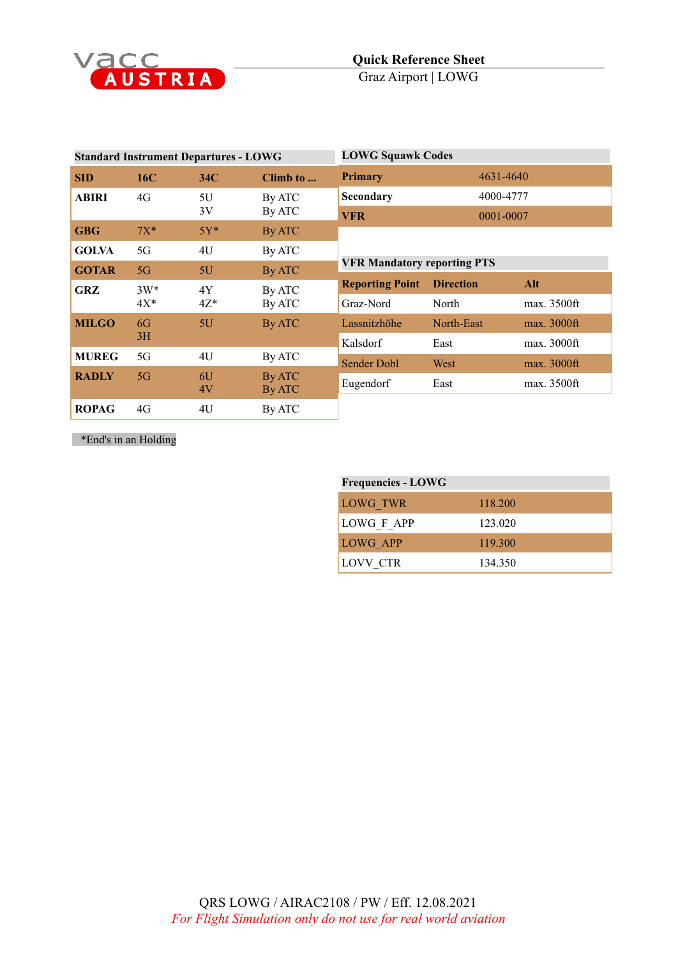

| <b>Standard Instrument Departures - LOWG</b> |        |                           |                  | <b>LOWG Squawk Codes</b>           |                  |             |
|----------------------------------------------|--------|---------------------------|------------------|------------------------------------|------------------|-------------|
| <b>SID</b>                                   | 16C    | 34 <sup>C</sup>           | Climb to         | <b>Primary</b>                     | 4631-4640        |             |
| ABIRI                                        | 4G     | Secondary<br>5U<br>By ATC | 4000-4777        |                                    |                  |             |
| 3V                                           |        | By ATC                    | <b>VFR</b>       | 0001-0007                          |                  |             |
| <b>GBG</b>                                   | $7X^*$ | $5Y^*$                    | By ATC           |                                    |                  |             |
| <b>GOLVA</b>                                 | 5G     | 4U                        | By ATC           |                                    |                  |             |
| <b>GOTAR</b>                                 | 5G     | 5U                        | By ATC           | <b>VFR Mandatory reporting PTS</b> |                  |             |
| GRZ                                          | $3W^*$ | 4Y                        | By ATC           | <b>Reporting Point</b>             | <b>Direction</b> | Alt         |
|                                              | $4X^*$ | $4Z^*$                    | By ATC           | Graz-Nord                          | North            | max. 3500ft |
| <b>MILGO</b><br>6G<br>3H                     |        | 5U                        | By ATC           | Lassnitzhöhe                       | North-East       | max. 3000ft |
|                                              |        |                           | Kalsdorf         | East                               | max. 3000ft      |             |
| <b>MUREG</b>                                 | 5G     | 4U                        | By ATC           | <b>Sender Dobl</b>                 | West             | max. 3000ft |
| <b>RADLY</b>                                 | 5G     | 6U<br>4V                  | By ATC<br>By ATC | Eugendorf                          | East             | max. 3500ft |
| <b>ROPAG</b>                                 | 4G     | 4U                        | By ATC           |                                    |                  |             |

\*End's in an Holding

| <b>Frequencies - LOWG</b> |         |  |
|---------------------------|---------|--|
| LOWG TWR                  | 118.200 |  |
| LOWG F APP                | 123.020 |  |
| LOWG APP                  | 119.300 |  |
| LOVV CTR                  | 134.350 |  |